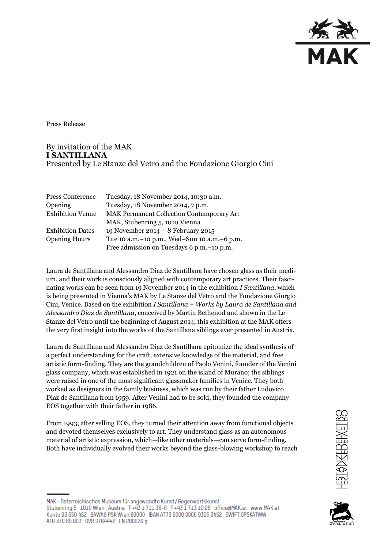

Press Release

By invitation of the MAK **I SANTILLANA** Presented by Le Stanze del Vetro and the Fondazione Giorgio Cini

| Press Conference        | Tuesday, 18 November 2014, 10:30 a.m.           |
|-------------------------|-------------------------------------------------|
| Opening                 | Tuesday, 18 November 2014, 7 p.m.               |
| <b>Exhibition Venue</b> | MAK Permanent Collection Contemporary Art       |
|                         | MAK, Stubenring 5, 1010 Vienna                  |
| <b>Exhibition Dates</b> | 19 November 2014 - 8 February 2015              |
| <b>Opening Hours</b>    | Tue 10 a.m. - 10 p.m., Wed-Sun 10 a.m. - 6 p.m. |
|                         | Free admission on Tuesdays 6 p.m. - 10 p.m.     |

Laura de Santillana and Alessandro Diaz de Santillana have chosen glass as their medium, and their work is consciously aligned with contemporary art practices. Their fascinating works can be seen from 19 November 2014 in the exhibition *I Santillana*, which is being presented in Vienna's MAK by Le Stanze del Vetro and the Fondazione Giorgio Cini, Venice. Based on the exhibition *I Santillana – Works by Laura de Santillana and Alessandro Diaz de Santillana*, conceived by Martin Bethenod and shown in the Le Stanze del Vetro until the beginning of August 2014, this exhibition at the MAK offers the very first insight into the works of the Santillana siblings ever presented in Austria.

Laura de Santillana and Alessandro Diaz de Santillana epitomize the ideal synthesis of a perfect understanding for the craft, extensive knowledge of the material, and free artistic form-finding. They are the grandchildren of Paolo Venini, founder of the Venini glass company, which was established in 1921 on the island of Murano; the siblings were raised in one of the most significant glassmaker families in Venice. They both worked as designers in the family business, which was run by their father Ludovico Diaz de Santillana from 1959. After Venini had to be sold, they founded the company EOS together with their father in 1986.

From 1993, after selling EOS, they turned their attention away from functional objects and devoted themselves exclusively to art. They understand glass as an autonomous material of artistic expression, which—like other materials—can serve form-finding. Both have individually evolved their works beyond the glass-blowing workshop to reach



## MAK - Österreichisches Museum für angewandte Kunst/Gegenwartskunst Stubenring 5 1010 Wien Austria T+43 1711 36-0 F+43 1713 10 26 office@MAK.at www.MAK.at Konto 93 050 452 BAWAG PSK Wien 60000 IBAN AT73 6000 0000 9305 0452 SWIFT OPSKATWW ATU 370 65 803 DVR 0764442 FN 200026 g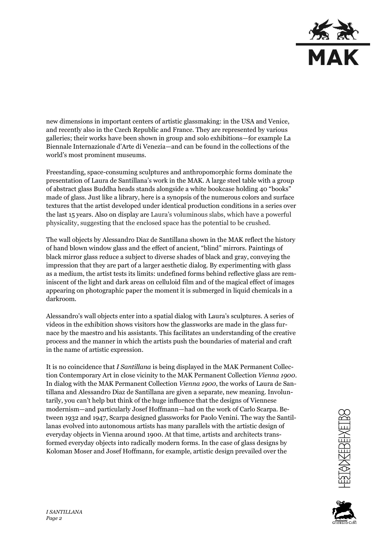

new dimensions in important centers of artistic glassmaking: in the USA and Venice, and recently also in the Czech Republic and France. They are represented by various galleries; their works have been shown in group and solo exhibitions—for example La Biennale Internazionale d'Arte di Venezia—and can be found in the collections of the world's most prominent museums.

Freestanding, space-consuming sculptures and anthropomorphic forms dominate the presentation of Laura de Santillana's work in the MAK. A large steel table with a group of abstract glass Buddha heads stands alongside a white bookcase holding 40 "books" made of glass. Just like a library, here is a synopsis of the numerous colors and surface textures that the artist developed under identical production conditions in a series over the last 15 years. Also on display are Laura's voluminous slabs, which have a powerful physicality, suggesting that the enclosed space has the potential to be crushed.

The wall objects by Alessandro Diaz de Santillana shown in the MAK reflect the history of hand blown window glass and the effect of ancient, "blind" mirrors. Paintings of black mirror glass reduce a subject to diverse shades of black and gray, conveying the impression that they are part of a larger aesthetic dialog. By experimenting with glass as a medium, the artist tests its limits: undefined forms behind reflective glass are reminiscent of the light and dark areas on celluloid film and of the magical effect of images appearing on photographic paper the moment it is submerged in liquid chemicals in a darkroom.

Alessandro's wall objects enter into a spatial dialog with Laura's sculptures. A series of videos in the exhibition shows visitors how the glassworks are made in the glass furnace by the maestro and his assistants. This facilitates an understanding of the creative process and the manner in which the artists push the boundaries of material and craft in the name of artistic expression.

It is no coincidence that *I Santillana* is being displayed in the MAK Permanent Collection Contemporary Art in close vicinity to the MAK Permanent Collection *Vienna 1900*. In dialog with the MAK Permanent Collection *Vienna 1900*, the works of Laura de Santillana and Alessandro Diaz de Santillana are given a separate, new meaning. Involuntarily, you can't help but think of the huge influence that the designs of Viennese modernism—and particularly Josef Hoffmann—had on the work of Carlo Scarpa. Between 1932 and 1947, Scarpa designed glassworks for Paolo Venini. The way the Santillanas evolved into autonomous artists has many parallels with the artistic design of everyday objects in Vienna around 1900. At that time, artists and architects transformed everyday objects into radically modern forms. In the case of glass designs by Koloman Moser and Josef Hoffmann, for example, artistic design prevailed over the



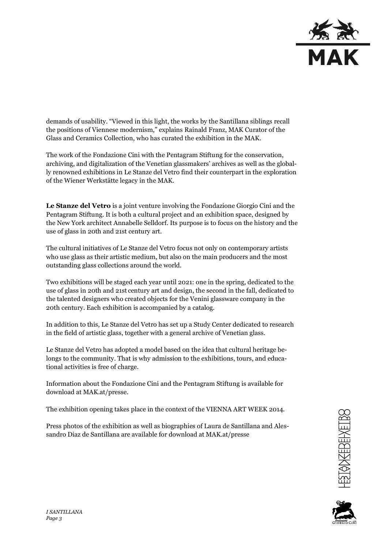

demands of usability. "Viewed in this light, the works by the Santillana siblings recall the positions of Viennese modernism," explains Rainald Franz, MAK Curator of the Glass and Ceramics Collection, who has curated the exhibition in the MAK.

The work of the Fondazione Cini with the Pentagram Stiftung for the conservation, archiving, and digitalization of the Venetian glassmakers' archives as well as the globally renowned exhibitions in Le Stanze del Vetro find their counterpart in the exploration of the Wiener Werkstätte legacy in the MAK.

**Le Stanze del Vetro** is a joint venture involving the Fondazione Giorgio Cini and the Pentagram Stiftung. It is both a cultural project and an exhibition space, designed by the New York architect Annabelle Selldorf. Its purpose is to focus on the history and the use of glass in 20th and 21st century art.

The cultural initiatives of Le Stanze del Vetro focus not only on contemporary artists who use glass as their artistic medium, but also on the main producers and the most outstanding glass collections around the world.

Two exhibitions will be staged each year until 2021: one in the spring, dedicated to the use of glass in 20th and 21st century art and design, the second in the fall, dedicated to the talented designers who created objects for the Venini glassware company in the 20th century. Each exhibition is accompanied by a catalog.

In addition to this, Le Stanze del Vetro has set up a Study Center dedicated to research in the field of artistic glass, together with a general archive of Venetian glass.

Le Stanze del Vetro has adopted a model based on the idea that cultural heritage belongs to the community. That is why admission to the exhibitions, tours, and educational activities is free of charge.

Information about the Fondazione Cini and the Pentagram Stiftung is available for download at MAK.at/presse.

The exhibition opening takes place in the context of the VIENNA ART WEEK 2014.

Press photos of the exhibition as well as biographies of Laura de Santillana and Alessandro Diaz de Santillana are available for download at MAK.at/presse